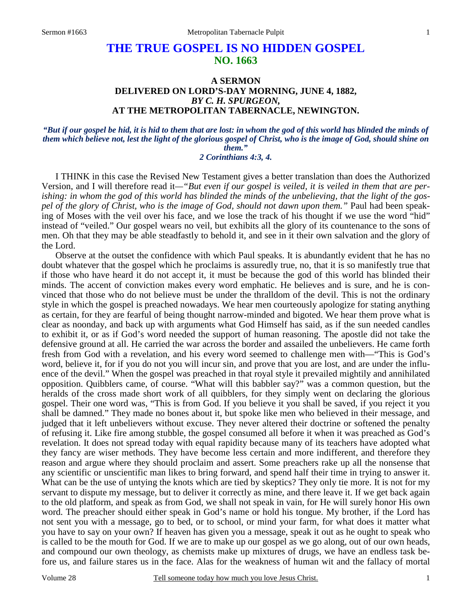## **THE TRUE GOSPEL IS NO HIDDEN GOSPEL NO. 1663**

## **A SERMON DELIVERED ON LORD'S-DAY MORNING, JUNE 4, 1882,**  *BY C. H. SPURGEON,*  **AT THE METROPOLITAN TABERNACLE, NEWINGTON.**

*"But if our gospel be hid, it is hid to them that are lost: in whom the god of this world has blinded the minds of them which believe not, lest the light of the glorious gospel of Christ, who is the image of God, should shine on them." 2 Corinthians 4:3, 4.* 

I THINK in this case the Revised New Testament gives a better translation than does the Authorized Version, and I will therefore read it*—"But even if our gospel is veiled, it is veiled in them that are perishing: in whom the god of this world has blinded the minds of the unbelieving, that the light of the gospel of the glory of Christ, who is the image of God, should not dawn upon them."* Paul had been speaking of Moses with the veil over his face, and we lose the track of his thought if we use the word "hid" instead of "veiled." Our gospel wears no veil, but exhibits all the glory of its countenance to the sons of men. Oh that they may be able steadfastly to behold it, and see in it their own salvation and the glory of the Lord.

 Observe at the outset the confidence with which Paul speaks. It is abundantly evident that he has no doubt whatever that the gospel which he proclaims is assuredly true, no, that it is so manifestly true that if those who have heard it do not accept it, it must be because the god of this world has blinded their minds. The accent of conviction makes every word emphatic. He believes and is sure, and he is convinced that those who do not believe must be under the thralldom of the devil. This is not the ordinary style in which the gospel is preached nowadays. We hear men courteously apologize for stating anything as certain, for they are fearful of being thought narrow-minded and bigoted. We hear them prove what is clear as noonday, and back up with arguments what God Himself has said, as if the sun needed candles to exhibit it, or as if God's word needed the support of human reasoning. The apostle did not take the defensive ground at all. He carried the war across the border and assailed the unbelievers. He came forth fresh from God with a revelation, and his every word seemed to challenge men with—"This is God's word, believe it, for if you do not you will incur sin, and prove that you are lost, and are under the influence of the devil." When the gospel was preached in that royal style it prevailed mightily and annihilated opposition. Quibblers came, of course. "What will this babbler say?" was a common question, but the heralds of the cross made short work of all quibblers, for they simply went on declaring the glorious gospel. Their one word was, "This is from God. If you believe it you shall be saved, if you reject it you shall be damned." They made no bones about it, but spoke like men who believed in their message, and judged that it left unbelievers without excuse. They never altered their doctrine or softened the penalty of refusing it. Like fire among stubble, the gospel consumed all before it when it was preached as God's revelation. It does not spread today with equal rapidity because many of its teachers have adopted what they fancy are wiser methods. They have become less certain and more indifferent, and therefore they reason and argue where they should proclaim and assert. Some preachers rake up all the nonsense that any scientific or unscientific man likes to bring forward, and spend half their time in trying to answer it. What can be the use of untying the knots which are tied by skeptics? They only tie more. It is not for my servant to dispute my message, but to deliver it correctly as mine, and there leave it. If we get back again to the old platform, and speak as from God, we shall not speak in vain, for He will surely honor His own word. The preacher should either speak in God's name or hold his tongue. My brother, if the Lord has not sent you with a message, go to bed, or to school, or mind your farm, for what does it matter what you have to say on your own? If heaven has given you a message, speak it out as he ought to speak who is called to be the mouth for God. If we are to make up our gospel as we go along, out of our own heads, and compound our own theology, as chemists make up mixtures of drugs, we have an endless task before us, and failure stares us in the face. Alas for the weakness of human wit and the fallacy of mortal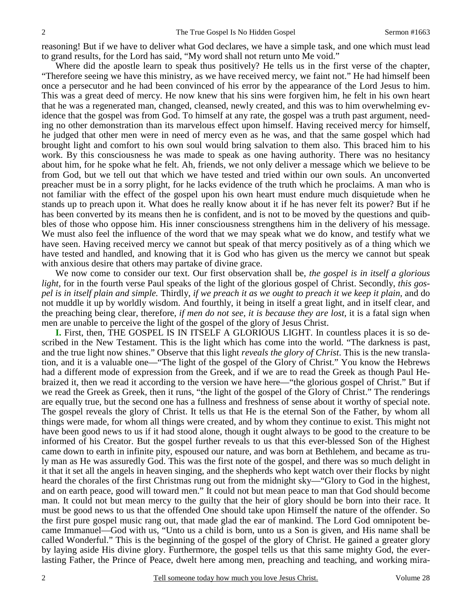reasoning! But if we have to deliver what God declares, we have a simple task, and one which must lead to grand results, for the Lord has said, "My word shall not return unto Me void."

 Where did the apostle learn to speak thus positively? He tells us in the first verse of the chapter, "Therefore seeing we have this ministry, as we have received mercy, we faint not." He had himself been once a persecutor and he had been convinced of his error by the appearance of the Lord Jesus to him. This was a great deed of mercy. He now knew that his sins were forgiven him, he felt in his own heart that he was a regenerated man, changed, cleansed, newly created, and this was to him overwhelming evidence that the gospel was from God. To himself at any rate, the gospel was a truth past argument, needing no other demonstration than its marvelous effect upon himself. Having received mercy for himself, he judged that other men were in need of mercy even as he was, and that the same gospel which had brought light and comfort to his own soul would bring salvation to them also. This braced him to his work. By this consciousness he was made to speak as one having authority. There was no hesitancy about him, for he spoke what he felt. Ah, friends, we not only deliver a message which we believe to be from God, but we tell out that which we have tested and tried within our own souls. An unconverted preacher must be in a sorry plight, for he lacks evidence of the truth which he proclaims. A man who is not familiar with the effect of the gospel upon his own heart must endure much disquietude when he stands up to preach upon it. What does he really know about it if he has never felt its power? But if he has been converted by its means then he is confident, and is not to be moved by the questions and quibbles of those who oppose him. His inner consciousness strengthens him in the delivery of his message. We must also feel the influence of the word that we may speak what we do know, and testify what we have seen. Having received mercy we cannot but speak of that mercy positively as of a thing which we have tested and handled, and knowing that it is God who has given us the mercy we cannot but speak with anxious desire that others may partake of divine grace.

 We now come to consider our text. Our first observation shall be, *the gospel is in itself a glorious light,* for in the fourth verse Paul speaks of the light of the glorious gospel of Christ. Secondly, *this gospel is in itself plain and simple.* Thirdly, *if we preach it as we ought to preach it we keep it plain,* and do not muddle it up by worldly wisdom. And fourthly, it being in itself a great light, and in itself clear, and the preaching being clear, therefore, *if men do not see, it is because they are lost,* it is a fatal sign when men are unable to perceive the light of the gospel of the glory of Jesus Christ.

**I.** First, then, THE GOSPEL IS IN ITSELF A GLORIOUS LIGHT. In countless places it is so described in the New Testament. This is the light which has come into the world. "The darkness is past, and the true light now shines." Observe that this light *reveals the glory of Christ*. This is the new translation, and it is a valuable one—"The light of the gospel of the Glory of Christ." You know the Hebrews had a different mode of expression from the Greek, and if we are to read the Greek as though Paul Hebraized it, then we read it according to the version we have here—"the glorious gospel of Christ." But if we read the Greek as Greek, then it runs, "the light of the gospel of the Glory of Christ." The renderings are equally true, but the second one has a fullness and freshness of sense about it worthy of special note. The gospel reveals the glory of Christ. It tells us that He is the eternal Son of the Father, by whom all things were made, for whom all things were created, and by whom they continue to exist. This might not have been good news to us if it had stood alone, though it ought always to be good to the creature to be informed of his Creator. But the gospel further reveals to us that this ever-blessed Son of the Highest came down to earth in infinite pity, espoused our nature, and was born at Bethlehem, and became as truly man as He was assuredly God. This was the first note of the gospel, and there was so much delight in it that it set all the angels in heaven singing, and the shepherds who kept watch over their flocks by night heard the chorales of the first Christmas rung out from the midnight sky—"Glory to God in the highest, and on earth peace, good will toward men." It could not but mean peace to man that God should become man. It could not but mean mercy to the guilty that the heir of glory should be born into their race. It must be good news to us that the offended One should take upon Himself the nature of the offender. So the first pure gospel music rang out, that made glad the ear of mankind. The Lord God omnipotent became Immanuel—God with us, "Unto us a child is born, unto us a Son is given, and His name shall be called Wonderful." This is the beginning of the gospel of the glory of Christ. He gained a greater glory by laying aside His divine glory. Furthermore, the gospel tells us that this same mighty God, the everlasting Father, the Prince of Peace, dwelt here among men, preaching and teaching, and working mira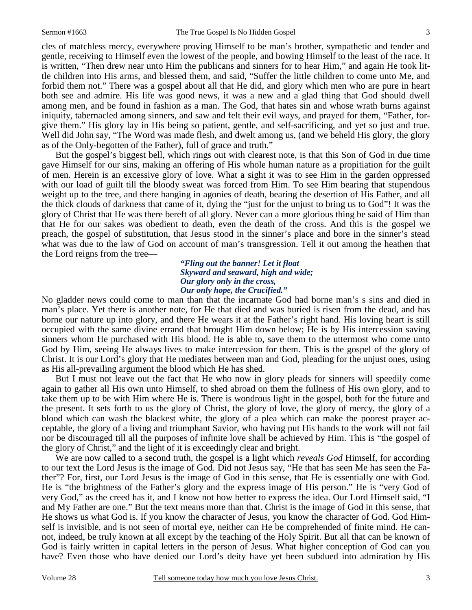cles of matchless mercy, everywhere proving Himself to be man's brother, sympathetic and tender and gentle, receiving to Himself even the lowest of the people, and bowing Himself to the least of the race. It is written, "Then drew near unto Him the publicans and sinners for to hear Him," and again He took little children into His arms, and blessed them, and said, "Suffer the little children to come unto Me, and forbid them not." There was a gospel about all that He did, and glory which men who are pure in heart both see and admire. His life was good news, it was a new and a glad thing that God should dwell among men, and be found in fashion as a man. The God, that hates sin and whose wrath burns against iniquity, tabernacled among sinners, and saw and felt their evil ways, and prayed for them, "Father, forgive them." His glory lay in His being so patient, gentle, and self-sacrificing, and yet so just and true. Well did John say, "The Word was made flesh, and dwelt among us, (and we beheld His glory, the glory as of the Only-begotten of the Father), full of grace and truth."

 But the gospel's biggest bell, which rings out with clearest note, is that this Son of God in due time gave Himself for our sins, making an offering of His whole human nature as a propitiation for the guilt of men. Herein is an excessive glory of love. What a sight it was to see Him in the garden oppressed with our load of guilt till the bloody sweat was forced from Him. To see Him bearing that stupendous weight up to the tree, and there hanging in agonies of death, bearing the desertion of His Father, and all the thick clouds of darkness that came of it, dying the "just for the unjust to bring us to God"! It was the glory of Christ that He was there bereft of all glory. Never can a more glorious thing be said of Him than that He for our sakes was obedient to death, even the death of the cross. And this is the gospel we preach, the gospel of substitution, that Jesus stood in the sinner's place and bore in the sinner's stead what was due to the law of God on account of man's transgression. Tell it out among the heathen that the Lord reigns from the tree—

> *"Fling out the banner! Let it float Skyward and seaward, high and wide; Our glory only in the cross, Our only hope, the Crucified."*

No gladder news could come to man than that the incarnate God had borne man's s sins and died in man's place. Yet there is another note, for He that died and was buried is risen from the dead, and has borne our nature up into glory, and there He wears it at the Father's right hand. His loving heart is still occupied with the same divine errand that brought Him down below; He is by His intercession saving sinners whom He purchased with His blood. He is able to, save them to the uttermost who come unto God by Him, seeing He always lives to make intercession for them. This is the gospel of the glory of Christ. It is our Lord's glory that He mediates between man and God, pleading for the unjust ones, using as His all-prevailing argument the blood which He has shed.

 But I must not leave out the fact that He who now in glory pleads for sinners will speedily come again to gather all His own unto Himself, to shed abroad on them the fullness of His own glory, and to take them up to be with Him where He is. There is wondrous light in the gospel, both for the future and the present. It sets forth to us the glory of Christ, the glory of love, the glory of mercy, the glory of a blood which can wash the blackest white, the glory of a plea which can make the poorest prayer acceptable, the glory of a living and triumphant Savior, who having put His hands to the work will not fail nor be discouraged till all the purposes of infinite love shall be achieved by Him. This is "the gospel of the glory of Christ," and the light of it is exceedingly clear and bright.

 We are now called to a second truth, the gospel is a light which *reveals God* Himself, for according to our text the Lord Jesus is the image of God. Did not Jesus say, "He that has seen Me has seen the Father"? For, first, our Lord Jesus is the image of God in this sense, that He is essentially one with God. He is "the brightness of the Father's glory and the express image of His person." He is "very God of very God," as the creed has it, and I know not how better to express the idea. Our Lord Himself said, "I and My Father are one." But the text means more than that. Christ is the image of God in this sense, that He shows us what God is. If you know the character of Jesus, you know the character of God. God Himself is invisible, and is not seen of mortal eye, neither can He be comprehended of finite mind. He cannot, indeed, be truly known at all except by the teaching of the Holy Spirit. But all that can be known of God is fairly written in capital letters in the person of Jesus. What higher conception of God can you have? Even those who have denied our Lord's deity have yet been subdued into admiration by His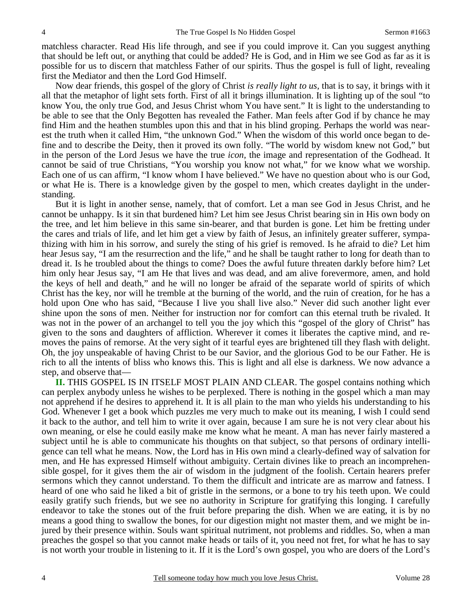matchless character. Read His life through, and see if you could improve it. Can you suggest anything that should be left out, or anything that could be added? He is God, and in Him we see God as far as it is possible for us to discern that matchless Father of our spirits. Thus the gospel is full of light, revealing first the Mediator and then the Lord God Himself.

 Now dear friends, this gospel of the glory of Christ *is really light to us,* that is to say, it brings with it all that the metaphor of light sets forth. First of all it brings illumination. It is lighting up of the soul "to know You, the only true God, and Jesus Christ whom You have sent." It is light to the understanding to be able to see that the Only Begotten has revealed the Father. Man feels after God if by chance he may find Him and the heathen stumbles upon this and that in his blind groping. Perhaps the world was nearest the truth when it called Him, "the unknown God." When the wisdom of this world once began to define and to describe the Deity, then it proved its own folly. "The world by wisdom knew not God," but in the person of the Lord Jesus we have the true *icon,* the image and representation of the Godhead. It cannot be said of true Christians, "You worship you know not what," for we know what we worship. Each one of us can affirm, "I know whom I have believed." We have no question about who is our God, or what He is. There is a knowledge given by the gospel to men, which creates daylight in the understanding.

 But it is light in another sense, namely, that of comfort. Let a man see God in Jesus Christ, and he cannot be unhappy. Is it sin that burdened him? Let him see Jesus Christ bearing sin in His own body on the tree, and let him believe in this same sin-bearer, and that burden is gone. Let him be fretting under the cares and trials of life, and let him get a view by faith of Jesus, an infinitely greater sufferer, sympathizing with him in his sorrow, and surely the sting of his grief is removed. Is he afraid to die? Let him hear Jesus say, "I am the resurrection and the life," and he shall be taught rather to long for death than to dread it. Is he troubled about the things to come? Does the awful future threaten darkly before him? Let him only hear Jesus say, "I am He that lives and was dead, and am alive forevermore, amen, and hold the keys of hell and death," and he will no longer be afraid of the separate world of spirits of which Christ has the key, nor will he tremble at the burning of the world, and the ruin of creation, for he has a hold upon One who has said, "Because I live you shall live also." Never did such another light ever shine upon the sons of men. Neither for instruction nor for comfort can this eternal truth be rivaled. It was not in the power of an archangel to tell you the joy which this "gospel of the glory of Christ" has given to the sons and daughters of affliction. Wherever it comes it liberates the captive mind, and removes the pains of remorse. At the very sight of it tearful eyes are brightened till they flash with delight. Oh, the joy unspeakable of having Christ to be our Savior, and the glorious God to be our Father. He is rich to all the intents of bliss who knows this. This is light and all else is darkness. We now advance a step, and observe that—

**II.** THIS GOSPEL IS IN ITSELF MOST PLAIN AND CLEAR. The gospel contains nothing which can perplex anybody unless he wishes to be perplexed. There is nothing in the gospel which a man may not apprehend if he desires to apprehend it. It is all plain to the man who yields his understanding to his God. Whenever I get a book which puzzles me very much to make out its meaning, I wish I could send it back to the author, and tell him to write it over again, because I am sure he is not very clear about his own meaning, or else he could easily make me know what he meant. A man has never fairly mastered a subject until he is able to communicate his thoughts on that subject, so that persons of ordinary intelligence can tell what he means. Now, the Lord has in His own mind a clearly-defined way of salvation for men, and He has expressed Himself without ambiguity. Certain divines like to preach an incomprehensible gospel, for it gives them the air of wisdom in the judgment of the foolish. Certain hearers prefer sermons which they cannot understand. To them the difficult and intricate are as marrow and fatness. I heard of one who said he liked a bit of gristle in the sermons, or a bone to try his teeth upon. We could easily gratify such friends, but we see no authority in Scripture for gratifying this longing. I carefully endeavor to take the stones out of the fruit before preparing the dish. When we are eating, it is by no means a good thing to swallow the bones, for our digestion might not master them, and we might be injured by their presence within. Souls want spiritual nutriment, not problems and riddles. So, when a man preaches the gospel so that you cannot make heads or tails of it, you need not fret, for what he has to say is not worth your trouble in listening to it. If it is the Lord's own gospel, you who are doers of the Lord's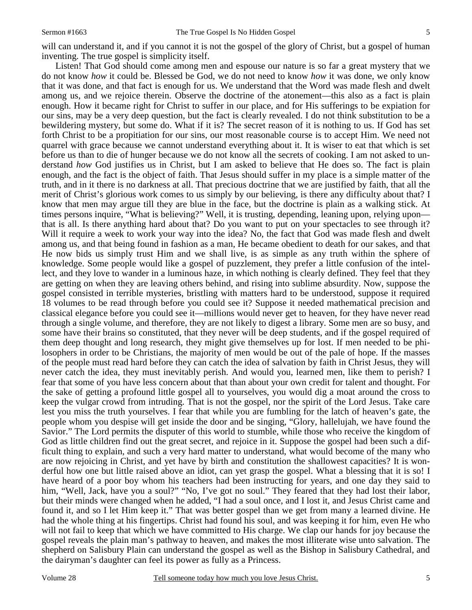will can understand it, and if you cannot it is not the gospel of the glory of Christ, but a gospel of human inventing. The true gospel is simplicity itself.

 Listen! That God should come among men and espouse our nature is so far a great mystery that we do not know *how* it could be. Blessed be God, we do not need to know *how* it was done, we only know that it was done, and that fact is enough for us. We understand that the Word was made flesh and dwelt among us, and we rejoice therein. Observe the doctrine of the atonement—this also as a fact is plain enough. How it became right for Christ to suffer in our place, and for His sufferings to be expiation for our sins, may be a very deep question, but the fact is clearly revealed. I do not think substitution to be a bewildering mystery, but some do. What if it is? The secret reason of it is nothing to us. If God has set forth Christ to be a propitiation for our sins, our most reasonable course is to accept Him. We need not quarrel with grace because we cannot understand everything about it. It is wiser to eat that which is set before us than to die of hunger because we do not know all the secrets of cooking. I am not asked to understand *how* God justifies us in Christ, but I am asked to believe that He does so. The fact is plain enough, and the fact is the object of faith. That Jesus should suffer in my place is a simple matter of the truth, and in it there is no darkness at all. That precious doctrine that we are justified by faith, that all the merit of Christ's glorious work comes to us simply by our believing, is there any difficulty about that? I know that men may argue till they are blue in the face, but the doctrine is plain as a walking stick. At times persons inquire, "What is believing?" Well, it is trusting, depending, leaning upon, relying upon that is all. Is there anything hard about that? Do you want to put on your spectacles to see through it? Will it require a week to work your way into the idea? No, the fact that God was made flesh and dwelt among us, and that being found in fashion as a man, He became obedient to death for our sakes, and that He now bids us simply trust Him and we shall live, is as simple as any truth within the sphere of knowledge. Some people would like a gospel of puzzlement, they prefer a little confusion of the intellect, and they love to wander in a luminous haze, in which nothing is clearly defined. They feel that they are getting on when they are leaving others behind, and rising into sublime absurdity. Now, suppose the gospel consisted in terrible mysteries, bristling with matters hard to be understood, suppose it required 18 volumes to be read through before you could see it? Suppose it needed mathematical precision and classical elegance before you could see it—millions would never get to heaven, for they have never read through a single volume, and therefore, they are not likely to digest a library. Some men are so busy, and some have their brains so constituted, that they never will be deep students, and if the gospel required of them deep thought and long research, they might give themselves up for lost. If men needed to be philosophers in order to be Christians, the majority of men would be out of the pale of hope. If the masses of the people must read hard before they can catch the idea of salvation by faith in Christ Jesus, they will never catch the idea, they must inevitably perish. And would you, learned men, like them to perish? I fear that some of you have less concern about that than about your own credit for talent and thought. For the sake of getting a profound little gospel all to yourselves, you would dig a moat around the cross to keep the vulgar crowd from intruding. That is not the gospel, nor the spirit of the Lord Jesus. Take care lest you miss the truth yourselves. I fear that while you are fumbling for the latch of heaven's gate, the people whom you despise will get inside the door and be singing, "Glory, hallelujah, we have found the Savior." The Lord permits the disputer of this world to stumble, while those who receive the kingdom of God as little children find out the great secret, and rejoice in it. Suppose the gospel had been such a difficult thing to explain, and such a very hard matter to understand, what would become of the many who are now rejoicing in Christ, and yet have by birth and constitution the shallowest capacities? It is wonderful how one but little raised above an idiot, can yet grasp the gospel. What a blessing that it is so! I have heard of a poor boy whom his teachers had been instructing for years, and one day they said to him, "Well, Jack, have you a soul?" "No, I've got no soul." They feared that they had lost their labor, but their minds were changed when he added, "I had a soul once, and I lost it, and Jesus Christ came and found it, and so I let Him keep it." That was better gospel than we get from many a learned divine. He had the whole thing at his fingertips. Christ had found his soul, and was keeping it for him, even He who will not fail to keep that which we have committed to His charge. We clap our hands for joy because the gospel reveals the plain man's pathway to heaven, and makes the most illiterate wise unto salvation. The shepherd on Salisbury Plain can understand the gospel as well as the Bishop in Salisbury Cathedral, and the dairyman's daughter can feel its power as fully as a Princess.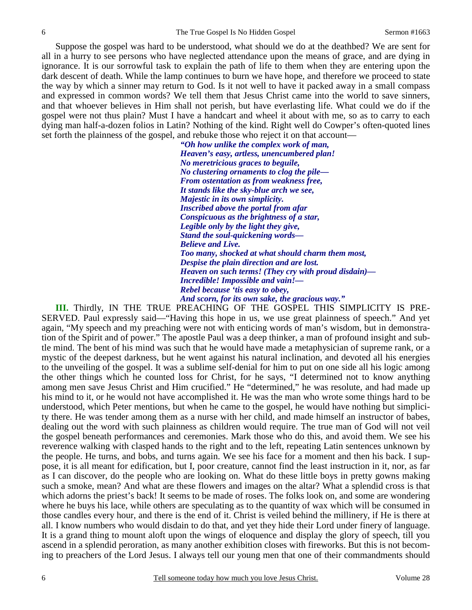Suppose the gospel was hard to be understood, what should we do at the deathbed? We are sent for all in a hurry to see persons who have neglected attendance upon the means of grace, and are dying in ignorance. It is our sorrowful task to explain the path of life to them when they are entering upon the dark descent of death. While the lamp continues to burn we have hope, and therefore we proceed to state the way by which a sinner may return to God. Is it not well to have it packed away in a small compass and expressed in common words? We tell them that Jesus Christ came into the world to save sinners, and that whoever believes in Him shall not perish, but have everlasting life. What could we do if the gospel were not thus plain? Must I have a handcart and wheel it about with me, so as to carry to each dying man half-a-dozen folios in Latin? Nothing of the kind. Right well do Cowper's often-quoted lines set forth the plainness of the gospel, and rebuke those who reject it on that account—

> *"Oh how unlike the complex work of man, Heaven's easy, artless, unencumbered plan! No meretricious graces to beguile, No clustering ornaments to clog the pile— From ostentation as from weakness free, It stands like the sky-blue arch we see, Majestic in its own simplicity. Inscribed above the portal from afar Conspicuous as the brightness of a star, Legible only by the light they give, Stand the soul-quickening words— Believe and Live. Too many, shocked at what should charm them most, Despise the plain direction and are lost. Heaven on such terms! (They cry with proud disdain)— Incredible! Impossible and vain!— Rebel because 'tis easy to obey, And scorn, for its own sake, the gracious way."*

**III.** Thirdly, IN THE TRUE PREACHING OF THE GOSPEL THIS SIMPLICITY IS PRE-SERVED. Paul expressly said—"Having this hope in us, we use great plainness of speech." And yet again, "My speech and my preaching were not with enticing words of man's wisdom, but in demonstration of the Spirit and of power." The apostle Paul was a deep thinker, a man of profound insight and subtle mind. The bent of his mind was such that he would have made a metaphysician of supreme rank, or a mystic of the deepest darkness, but he went against his natural inclination, and devoted all his energies to the unveiling of the gospel. It was a sublime self-denial for him to put on one side all his logic among the other things which he counted loss for Christ, for he says, "I determined not to know anything among men save Jesus Christ and Him crucified." He "determined," he was resolute, and had made up his mind to it, or he would not have accomplished it. He was the man who wrote some things hard to be understood, which Peter mentions, but when he came to the gospel, he would have nothing but simplicity there. He was tender among them as a nurse with her child, and made himself an instructor of babes, dealing out the word with such plainness as children would require. The true man of God will not veil the gospel beneath performances and ceremonies. Mark those who do this, and avoid them. We see his reverence walking with clasped hands to the right and to the left, repeating Latin sentences unknown by the people. He turns, and bobs, and turns again. We see his face for a moment and then his back. I suppose, it is all meant for edification, but I, poor creature, cannot find the least instruction in it, nor, as far as I can discover, do the people who are looking on. What do these little boys in pretty gowns making such a smoke, mean? And what are these flowers and images on the altar? What a splendid cross is that which adorns the priest's back! It seems to be made of roses. The folks look on, and some are wondering where he buys his lace, while others are speculating as to the quantity of wax which will be consumed in those candles every hour, and there is the end of it. Christ is veiled behind the millinery, if He is there at all. I know numbers who would disdain to do that, and yet they hide their Lord under finery of language. It is a grand thing to mount aloft upon the wings of eloquence and display the glory of speech, till you ascend in a splendid peroration, as many another exhibition closes with fireworks. But this is not becoming to preachers of the Lord Jesus. I always tell our young men that one of their commandments should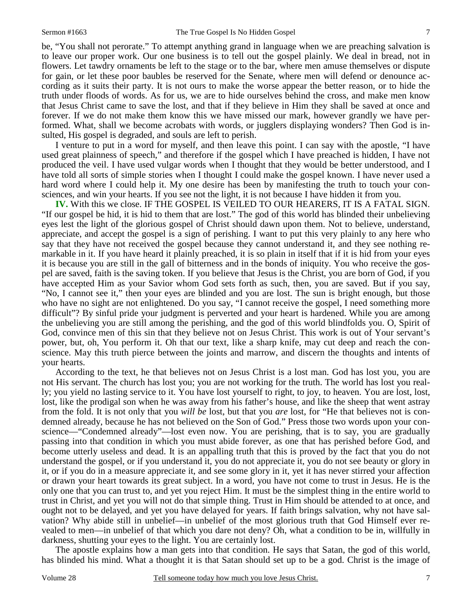be, "You shall not perorate." To attempt anything grand in language when we are preaching salvation is to leave our proper work. Our one business is to tell out the gospel plainly. We deal in bread, not in flowers. Let tawdry ornaments be left to the stage or to the bar, where men amuse themselves or dispute for gain, or let these poor baubles be reserved for the Senate, where men will defend or denounce according as it suits their party. It is not ours to make the worse appear the better reason, or to hide the truth under floods of words. As for us, we are to hide ourselves behind the cross, and make men know that Jesus Christ came to save the lost, and that if they believe in Him they shall be saved at once and forever. If we do not make them know this we have missed our mark, however grandly we have performed. What, shall we become acrobats with words, or jugglers displaying wonders? Then God is insulted, His gospel is degraded, and souls are left to perish.

 I venture to put in a word for myself, and then leave this point. I can say with the apostle, "I have used great plainness of speech," and therefore if the gospel which I have preached is hidden, I have not produced the veil. I have used vulgar words when I thought that they would be better understood, and I have told all sorts of simple stories when I thought I could make the gospel known. I have never used a hard word where I could help it. My one desire has been by manifesting the truth to touch your consciences, and win your hearts. If you see not the light, it is not because I have hidden it from you.

**IV.** With this we close. IF THE GOSPEL IS VEILED TO OUR HEARERS, IT IS A FATAL SIGN. "If our gospel be hid, it is hid to them that are lost." The god of this world has blinded their unbelieving eyes lest the light of the glorious gospel of Christ should dawn upon them. Not to believe, understand, appreciate, and accept the gospel is a sign of perishing. I want to put this very plainly to any here who say that they have not received the gospel because they cannot understand it, and they see nothing remarkable in it. If you have heard it plainly preached, it is so plain in itself that if it is hid from your eyes it is because you are still in the gall of bitterness and in the bonds of iniquity. You who receive the gospel are saved, faith is the saving token. If you believe that Jesus is the Christ, you are born of God, if you have accepted Him as your Savior whom God sets forth as such, then, you are saved. But if you say, "No, I cannot see it," then your eyes are blinded and you are lost. The sun is bright enough, but those who have no sight are not enlightened. Do you say, "I cannot receive the gospel, I need something more difficult"? By sinful pride your judgment is perverted and your heart is hardened. While you are among the unbelieving you are still among the perishing, and the god of this world blindfolds you. O, Spirit of God, convince men of this sin that they believe not on Jesus Christ. This work is out of Your servant's power, but, oh, You perform it. Oh that our text, like a sharp knife, may cut deep and reach the conscience. May this truth pierce between the joints and marrow, and discern the thoughts and intents of your hearts.

 According to the text, he that believes not on Jesus Christ is a lost man. God has lost you, you are not His servant. The church has lost you; you are not working for the truth. The world has lost you really; you yield no lasting service to it. You have lost yourself to right, to joy, to heaven. You are lost, lost, lost, like the prodigal son when he was away from his father's house, and like the sheep that went astray from the fold. It is not only that you *will be* lost, but that you *are* lost, for "He that believes not is condemned already, because he has not believed on the Son of God." Press those two words upon your conscience—"Condemned already"—lost even now. You are perishing, that is to say, you are gradually passing into that condition in which you must abide forever, as one that has perished before God, and become utterly useless and dead. It is an appalling truth that this is proved by the fact that you do not understand the gospel, or if you understand it, you do not appreciate it, you do not see beauty or glory in it, or if you do in a measure appreciate it, and see some glory in it, yet it has never stirred your affection or drawn your heart towards its great subject. In a word, you have not come to trust in Jesus. He is the only one that you can trust to, and yet you reject Him. It must be the simplest thing in the entire world to trust in Christ, and yet you will not do that simple thing. Trust in Him should be attended to at once, and ought not to be delayed, and yet you have delayed for years. If faith brings salvation, why not have salvation? Why abide still in unbelief—in unbelief of the most glorious truth that God Himself ever revealed to men—in unbelief of that which you dare not deny? Oh, what a condition to be in, willfully in darkness, shutting your eyes to the light. You are certainly lost.

 The apostle explains how a man gets into that condition. He says that Satan, the god of this world, has blinded his mind. What a thought it is that Satan should set up to be a god. Christ is the image of